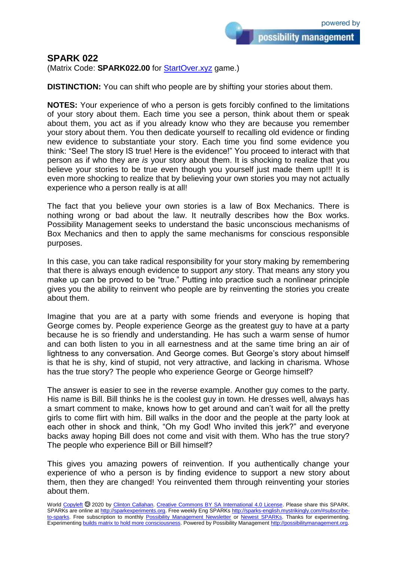possibility management

**SPARK 022**

(Matrix Code: **SPARK022.00** for **StartOver.xyz** game.)

**DISTINCTION:** You can shift who people are by shifting your stories about them.

**NOTES:** Your experience of who a person is gets forcibly confined to the limitations of your story about them. Each time you see a person, think about them or speak about them, you act as if you already know who they are because you remember your story about them. You then dedicate yourself to recalling old evidence or finding new evidence to substantiate your story. Each time you find some evidence you think: "See! The story IS true! Here is the evidence!" You proceed to interact with that person as if who they are *is* your story about them. It is shocking to realize that you believe your stories to be true even though you yourself just made them up!!! It is even more shocking to realize that by believing your own stories you may not actually experience who a person really is at all!

The fact that you believe your own stories is a law of Box Mechanics. There is nothing wrong or bad about the law. It neutrally describes how the Box works. Possibility Management seeks to understand the basic unconscious mechanisms of Box Mechanics and then to apply the same mechanisms for conscious responsible purposes.

In this case, you can take radical responsibility for your story making by remembering that there is always enough evidence to support *any* story. That means any story you make up can be proved to be "true." Putting into practice such a nonlinear principle gives you the ability to reinvent who people are by reinventing the stories you create about them.

Imagine that you are at a party with some friends and everyone is hoping that George comes by. People experience George as the greatest guy to have at a party because he is so friendly and understanding. He has such a warm sense of humor and can both listen to you in all earnestness and at the same time bring an air of lightness to any conversation. And George comes. But George's story about himself is that he is shy, kind of stupid, not very attractive, and lacking in charisma. Whose has the true story? The people who experience George or George himself?

The answer is easier to see in the reverse example. Another guy comes to the party. His name is Bill. Bill thinks he is the coolest guy in town. He dresses well, always has a smart comment to make, knows how to get around and can't wait for all the pretty girls to come flirt with him. Bill walks in the door and the people at the party look at each other in shock and think, "Oh my God! Who invited this jerk?" and everyone backs away hoping Bill does not come and visit with them. Who has the true story? The people who experience Bill or Bill himself?

This gives you amazing powers of reinvention. If you authentically change your experience of who a person is by finding evidence to support a new story about them, then they are changed! You reinvented them through reinventing your stories about them.

World [Copyleft](https://en.wikipedia.org/wiki/Copyleft) @ 2020 by [Clinton Callahan.](http://clintoncallahan.mystrikingly.com/) [Creative Commons BY SA International 4.0 License.](https://creativecommons.org/licenses/by-sa/4.0/) Please share this SPARK. SPARKs are online at [http://sparkexperiments.org.](http://sparks-english.mystrikingly.com/) Free weekly Eng SPARKs [http://sparks-english.mystrikingly.com/#subscribe](http://sparks-english.mystrikingly.com/#subscribe-to-sparks)[to-sparks.](http://sparks-english.mystrikingly.com/#subscribe-to-sparks) Free subscription to monthly [Possibility Management Newsletter](https://possibilitymanagement.org/news/) or [Newest SPARKs.](https://www.clintoncallahan.org/newsletter-1) Thanks for experimenting. Experimentin[g builds matrix to hold more consciousness.](http://spaceport.mystrikingly.com/) Powered by Possibility Managemen[t http://possibilitymanagement.org.](http://possibilitymanagement.org/)